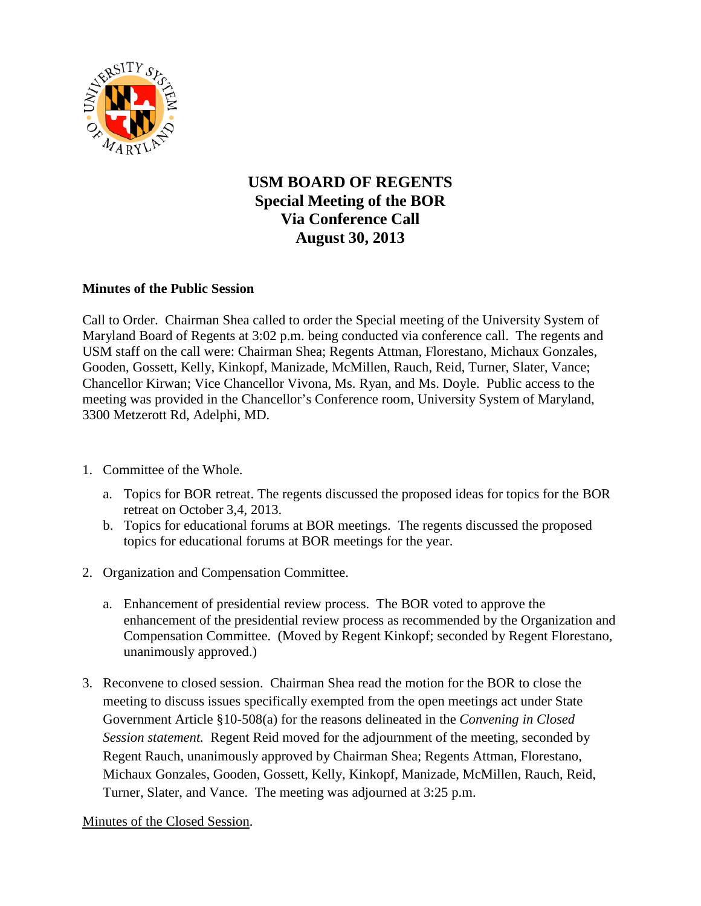

## **USM BOARD OF REGENTS Special Meeting of the BOR Via Conference Call August 30, 2013**

## **Minutes of the Public Session**

Call to Order. Chairman Shea called to order the Special meeting of the University System of Maryland Board of Regents at 3:02 p.m. being conducted via conference call. The regents and USM staff on the call were: Chairman Shea; Regents Attman, Florestano, Michaux Gonzales, Gooden, Gossett, Kelly, Kinkopf, Manizade, McMillen, Rauch, Reid, Turner, Slater, Vance; Chancellor Kirwan; Vice Chancellor Vivona, Ms. Ryan, and Ms. Doyle. Public access to the meeting was provided in the Chancellor's Conference room, University System of Maryland, 3300 Metzerott Rd, Adelphi, MD.

- 1. Committee of the Whole.
	- a. Topics for BOR retreat. The regents discussed the proposed ideas for topics for the BOR retreat on October 3,4, 2013.
	- b. Topics for educational forums at BOR meetings. The regents discussed the proposed topics for educational forums at BOR meetings for the year.
- 2. Organization and Compensation Committee.
	- a. Enhancement of presidential review process. The BOR voted to approve the enhancement of the presidential review process as recommended by the Organization and Compensation Committee. (Moved by Regent Kinkopf; seconded by Regent Florestano, unanimously approved.)
- 3. Reconvene to closed session. Chairman Shea read the motion for the BOR to close the meeting to discuss issues specifically exempted from the open meetings act under State Government Article §10-508(a) for the reasons delineated in the *Convening in Closed Session statement.* Regent Reid moved for the adjournment of the meeting, seconded by Regent Rauch, unanimously approved by Chairman Shea; Regents Attman, Florestano, Michaux Gonzales, Gooden, Gossett, Kelly, Kinkopf, Manizade, McMillen, Rauch, Reid, Turner, Slater, and Vance. The meeting was adjourned at 3:25 p.m.

Minutes of the Closed Session.